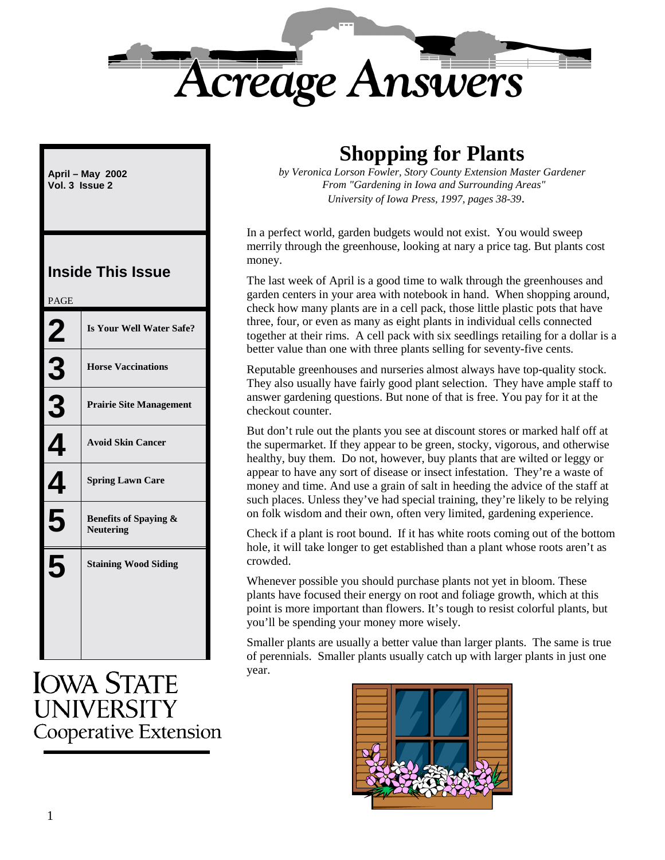

**April – May 2002 Vol. 3 Issue 2**

### **Inside This Issue**

| <b>PAGE</b> |                                                      |
|-------------|------------------------------------------------------|
| 2           | Is Your Well Water Safe?                             |
| <u>3</u>    | <b>Horse Vaccinations</b>                            |
| 3           | <b>Prairie Site Management</b>                       |
|             | <b>Avoid Skin Cancer</b>                             |
|             | <b>Spring Lawn Care</b>                              |
| 5           | <b>Benefits of Spaying &amp;</b><br><b>Neutering</b> |
|             | <b>Staining Wood Siding</b>                          |

**IOWA STATE UNIVERSITY Cooperative Extension** 

## **Shopping for Plants**

*by Veronica Lorson Fowler, Story County Extension Master Gardener From "Gardening in Iowa and Surrounding Areas" University of Iowa Press, 1997, pages 38-39*.

In a perfect world, garden budgets would not exist. You would sweep merrily through the greenhouse, looking at nary a price tag. But plants cost money.

The last week of April is a good time to walk through the greenhouses and garden centers in your area with notebook in hand. When shopping around, check how many plants are in a cell pack, those little plastic pots that have three, four, or even as many as eight plants in individual cells connected together at their rims. A cell pack with six seedlings retailing for a dollar is a better value than one with three plants selling for seventy-five cents.

Reputable greenhouses and nurseries almost always have top-quality stock. They also usually have fairly good plant selection. They have ample staff to answer gardening questions. But none of that is free. You pay for it at the checkout counter.

But don't rule out the plants you see at discount stores or marked half off at the supermarket. If they appear to be green, stocky, vigorous, and otherwise healthy, buy them. Do not, however, buy plants that are wilted or leggy or appear to have any sort of disease or insect infestation. They're a waste of money and time. And use a grain of salt in heeding the advice of the staff at such places. Unless they've had special training, they're likely to be relying on folk wisdom and their own, often very limited, gardening experience.

Check if a plant is root bound. If it has white roots coming out of the bottom hole, it will take longer to get established than a plant whose roots aren't as crowded.

Whenever possible you should purchase plants not yet in bloom. These plants have focused their energy on root and foliage growth, which at this point is more important than flowers. It's tough to resist colorful plants, but you'll be spending your money more wisely.

Smaller plants are usually a better value than larger plants. The same is true of perennials. Smaller plants usually catch up with larger plants in just one year.

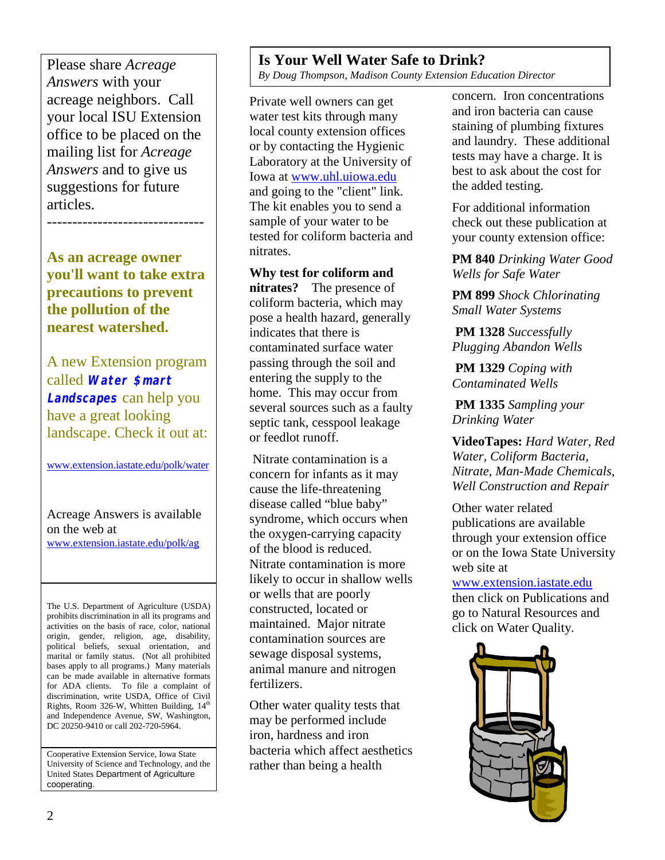Please share *Acreage Answers* with your acreage neighbors. Call your local ISU Extension office to be placed on the mailing list for *Acreage Answers* and to give us suggestions for future articles.

**As an acreage owner you'll want to take extra precautions to prevent the pollution of the nearest watershed.**

-------------------------------

A new Extension program called **Water \$mart Landscapes** can help you have a great looking landscape. Check it out at:

www.extension.iastate.edu/polk/water

#### Acreage Answers is available on the web at

www.extension.iastate.edu/polk/ag

The U.S. Department of Agriculture (USDA) prohibits discrimination in all its programs and activities on the basis of race, color, national origin, gender, religion, age, disability, political beliefs, sexual orientation, and marital or family status. (Not all prohibited bases apply to all programs.) Many materials can be made available in alternative formats for ADA clients. To file a complaint of discrimination, write USDA, Office of Civil Rights, Room 326-W, Whitten Building,  $14<sup>th</sup>$ and Independence Avenue, SW, Washington, DC 20250-9410 or call 202-720-5964.

Cooperative Extension Service, Iowa State University of Science and Technology, and the United States Department of Agriculture cooperating.

#### **Is Your Well Water Safe to Drink?**

*By Doug Thompson, Madison County Extension Education Director*

Private well owners can get water test kits through many local county extension offices or by contacting the Hygienic Laboratory at the University of Iowa at www.uhl.uiowa.edu and going to the "client" link. The kit enables you to send a sample of your water to be tested for coliform bacteria and nitrates.

**Why test for coliform and nitrates?** The presence of coliform bacteria, which may pose a health hazard, generally indicates that there is contaminated surface water passing through the soil and entering the supply to the home. This may occur from several sources such as a faulty septic tank, cesspool leakage or feedlot runoff.

 Nitrate contamination is a concern for infants as it may cause the life-threatening disease called "blue baby" syndrome, which occurs when the oxygen-carrying capacity of the blood is reduced. Nitrate contamination is more likely to occur in shallow wells or wells that are poorly constructed, located or maintained. Major nitrate contamination sources are sewage disposal systems, animal manure and nitrogen fertilizers.

Other water quality tests that may be performed include iron, hardness and iron bacteria which affect aesthetics rather than being a health

concern. Iron concentrations and iron bacteria can cause staining of plumbing fixtures and laundry. These additional tests may have a charge. It is best to ask about the cost for the added testing.

For additional information check out these publication at your county extension office:

**PM 840** *Drinking Water Good Wells for Safe Water*

**PM 899** *Shock Chlorinating Small Water Systems*

**PM 1328** *Successfully Plugging Abandon Wells*

**PM 1329** *Coping with Contaminated Wells*

**PM 1335** *Sampling your Drinking Water*

**VideoTapes:** *Hard Water, Red Water, Coliform Bacteria, Nitrate, Man-Made Chemicals, Well Construction and Repair*

Other water related publications are available through your extension office or on the Iowa State University web site at

www.extension.iastate.edu then click on Publications and go to Natural Resources and click on Water Quality.

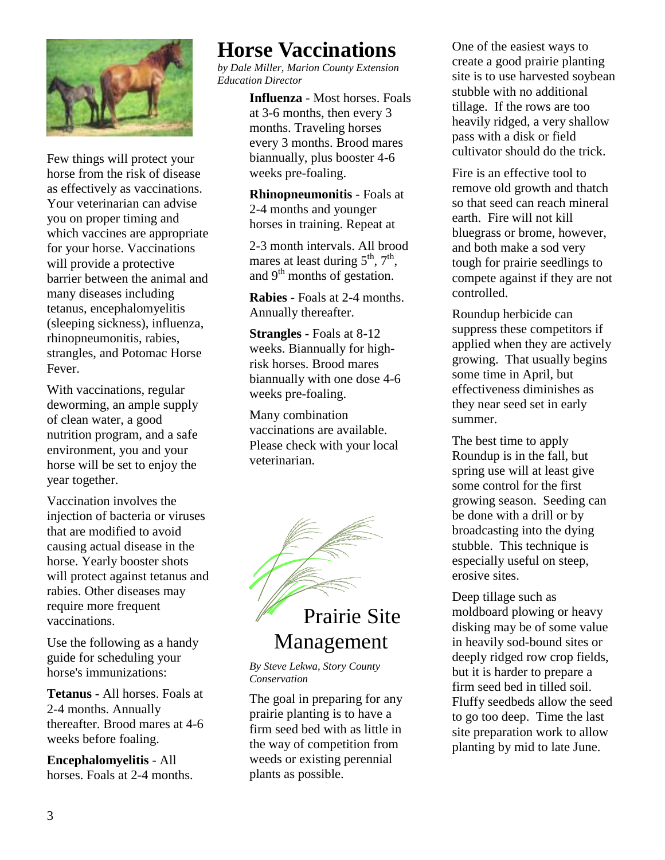

Few things will protect your horse from the risk of disease as effectively as vaccinations. Your veterinarian can advise you on proper timing and which vaccines are appropriate for your horse. Vaccinations will provide a protective barrier between the animal and many diseases including tetanus, encephalomyelitis (sleeping sickness), influenza, rhinopneumonitis, rabies, strangles, and Potomac Horse Fever.

With vaccinations, regular deworming, an ample supply of clean water, a good nutrition program, and a safe environment, you and your horse will be set to enjoy the year together.

Vaccination involves the injection of bacteria or viruses that are modified to avoid causing actual disease in the horse. Yearly booster shots will protect against tetanus and rabies. Other diseases may require more frequent vaccinations.

Use the following as a handy guide for scheduling your horse's immunizations:

**Tetanus -** All horses. Foals at 2-4 months. Annually thereafter. Brood mares at 4-6 weeks before foaling.

**Encephalomyelitis** - All horses. Foals at 2-4 months.

## **Horse Vaccinations**

Brood mares at 4-6 weeks *by Dale Miller, Marion County Extension* before foaling. *Education Director*

> **Influenza** - Most horses. Foals at 3-6 months, then every 3 months. Traveling horses every 3 months. Brood mares biannually, plus booster 4-6 weeks pre-foaling.

**Rhinopneumonitis** - Foals at 2-4 months and younger horses in training. Repeat at

2-3 month intervals. All brood mares at least during  $5<sup>th</sup>$ ,  $7<sup>th</sup>$ , and  $9<sup>th</sup>$  months of gestation.

**Rabies** - Foals at 2-4 months. Annually thereafter.

**Strangles -** Foals at 8-12 weeks. Biannually for highrisk horses. Brood mares biannually with one dose 4-6 weeks pre-foaling.

Many combination vaccinations are available. Please check with your local veterinarian.



# Management

*By Steve Lekwa, Story County Conservation*

The goal in preparing for any prairie planting is to have a firm seed bed with as little in the way of competition from weeds or existing perennial plants as possible.

One of the easiest ways to create a good prairie planting site is to use harvested soybean stubble with no additional tillage. If the rows are too heavily ridged, a very shallow pass with a disk or field cultivator should do the trick.

Fire is an effective tool to remove old growth and thatch so that seed can reach mineral earth. Fire will not kill bluegrass or brome, however, and both make a sod very tough for prairie seedlings to compete against if they are not controlled.

Roundup herbicide can suppress these competitors if applied when they are actively growing. That usually begins some time in April, but effectiveness diminishes as they near seed set in early summer.

The best time to apply Roundup is in the fall, but spring use will at least give some control for the first growing season. Seeding can be done with a drill or by broadcasting into the dying stubble. This technique is especially useful on steep, erosive sites.

Deep tillage such as moldboard plowing or heavy disking may be of some value in heavily sod-bound sites or deeply ridged row crop fields, but it is harder to prepare a firm seed bed in tilled soil. Fluffy seedbeds allow the seed to go too deep. Time the last site preparation work to allow planting by mid to late June.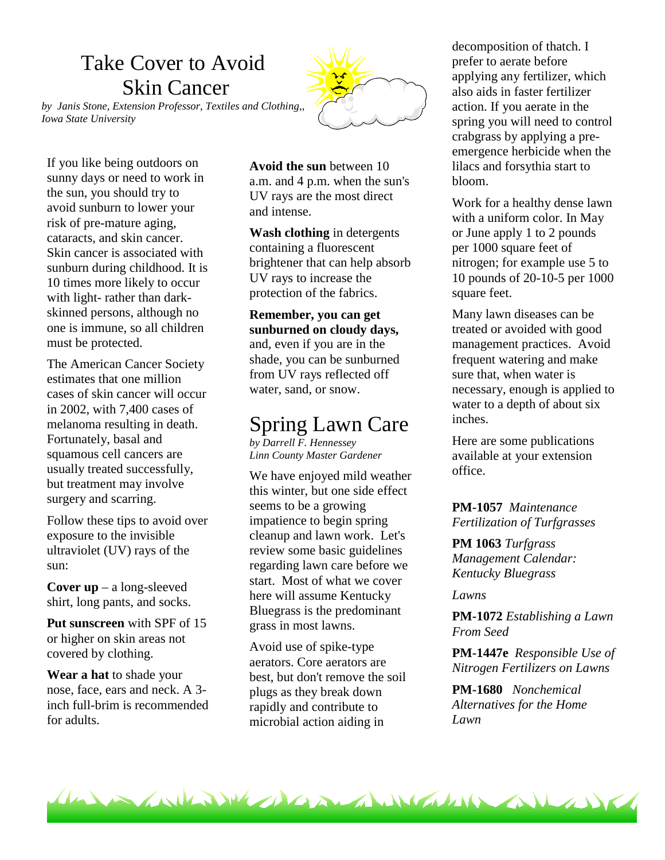# Take Cover to Avoid Skin Cancer

*by Janis Stone, Extension Professor, Textiles and Clothing,, Iowa State University*

If you like being outdoors on sunny days or need to work in the sun, you should try to avoid sunburn to lower your risk of pre-mature aging, cataracts, and skin cancer. Skin cancer is associated with sunburn during childhood. It is 10 times more likely to occur with light- rather than darkskinned persons, although no one is immune, so all children must be protected.

The American Cancer Society estimates that one million cases of skin cancer will occur in 2002, with 7,400 cases of melanoma resulting in death. Fortunately, basal and squamous cell cancers are usually treated successfully, but treatment may involve surgery and scarring.

Follow these tips to avoid over exposure to the invisible ultraviolet (UV) rays of the sun:

**Cover up** – a long-sleeved shirt, long pants, and socks.

**Put sunscreen** with SPF of 15 or higher on skin areas not covered by clothing.

**Wear a hat** to shade your nose, face, ears and neck. A 3 inch full-brim is recommended for adults.

**Avoid the sun** between 10 a.m. and 4 p.m. when the sun's UV rays are the most direct and intense.

**Wash clothing** in detergents containing a fluorescent brightener that can help absorb UV rays to increase the protection of the fabrics.

#### **Remember, you can get sunburned on cloudy days,** and, even if you are in the

shade, you can be sunburned from UV rays reflected off water, sand, or snow.

## Spring Lawn Care

*by Darrell F. Hennessey Linn County Master Gardener*

We have enjoyed mild weather this winter, but one side effect seems to be a growing impatience to begin spring cleanup and lawn work. Let's review some basic guidelines regarding lawn care before we start. Most of what we cover here will assume Kentucky Bluegrass is the predominant grass in most lawns.

Avoid use of spike-type aerators. Core aerators are best, but don't remove the soil plugs as they break down rapidly and contribute to microbial action aiding in

decomposition of thatch. I prefer to aerate before applying any fertilizer, which also aids in faster fertilizer action. If you aerate in the spring you will need to control crabgrass by applying a preemergence herbicide when the lilacs and forsythia start to bloom.

Work for a healthy dense lawn with a uniform color. In May or June apply 1 to 2 pounds per 1000 square feet of nitrogen; for example use 5 to 10 pounds of 20-10-5 per 1000 square feet.

Many lawn diseases can be treated or avoided with good management practices. Avoid frequent watering and make sure that, when water is necessary, enough is applied to water to a depth of about six inches.

Here are some publications available at your extension office.

**PM-1057** *Maintenance Fertilization of Turfgrasses*

**PM 1063** *Turfgrass Management Calendar: Kentucky Bluegrass*

*Lawns*

**PM-1072** *Establishing a Lawn From Seed*

**PM-1447e** *Responsible Use of Nitrogen Fertilizers on Lawns*

**PM-1680** *Nonchemical Alternatives for the Home Lawn*